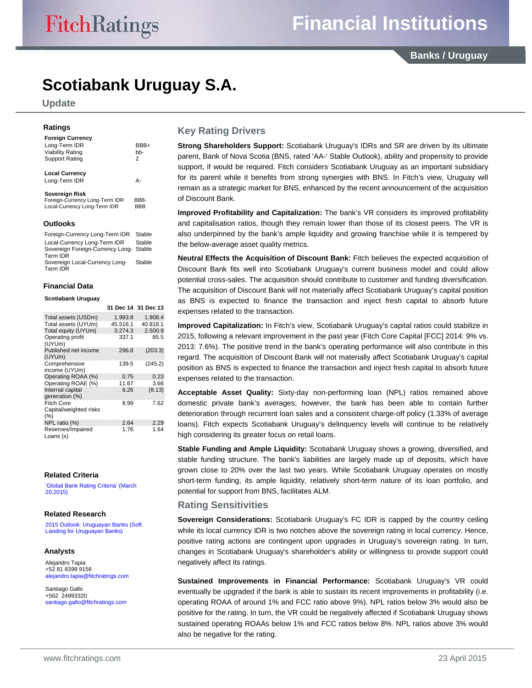**Banks / Uruguay**

# **Scotiabank Uruguay S.A.**

**Update** 

# **Ratings**

| <b>Foreign Currency</b><br>Long-Term IDR<br><b>Viability Rating</b><br><b>Support Rating</b> | BBB+<br>bb-<br>2 |
|----------------------------------------------------------------------------------------------|------------------|
| <b>Local Currency</b><br>Long-Term IDR                                                       | д.               |
| Sovereign Risk<br>Foreign-Currency Long-Term IDR<br>Local-Currency Long-Term IDR             | BBB-<br>RRR      |

#### **Outlooks**

Foreign-Currency Long-Term IDR Stable Local-Currency Long-Term IDR Stable Sovereign Foreign-Currency Long-Stable Term IDR Sovereign Local-Currency Long-Term IDR **Stable** 

## **Financial Data Scotiabank Uruguay**

|                                                        |          | 31 Dec 14 31 Dec 13 |
|--------------------------------------------------------|----------|---------------------|
| Total assets (USDm)                                    | 1.993.8  | 1.908.4             |
| Total assets (UYUm)                                    | 45.516.1 | 40.818.1            |
| Total equity (UYUm)                                    | 3.274.3  | 2.500.9             |
| Operating profit<br>(UYUm)                             | 337.1    | 85.5                |
| Published net income<br>(UYUm)                         | 296.8    | (203.3)             |
| Comprehensive<br>income (UYUm)                         | 139.5    | (245.2)             |
| Operating ROAA (%)                                     | 0.75     | 0.23                |
| Operating ROAE (%)                                     | 11.67    | 3.66                |
| Internal capital<br>generation (%)                     | 8.26     | (8.13)              |
| <b>Fitch Core</b><br>Capital/weighted risks<br>$(\% )$ | 8.99     | 7.62                |
| NPL ratio (%)                                          | 2.64     | 2.29                |
| Reserves/Impaired<br>Loans (x)                         | 1.76     | 1.64                |

#### **Related Criteria**

'Global Bank Rating Criteria' (March 20,2015)

## **Related Research**

2015 Outlook: Uruguayan Banks (Soft Landing for Uruguayan Banks)

## **Analysts**

Alejandro Tapia +52 81 8399 9156 alejandro.tapia@fitchratings.com

Santiago Gallo +562 24993320 santiago.gallo@fitchratings.com

# **Key Rating Drivers**

**Strong Shareholders Support:** Scotiabank Uruguay's IDRs and SR are driven by its ultimate parent, Bank of Nova Scotia (BNS, rated 'AA-' Stable Outlook), ability and propensity to provide support, if would be required. Fitch considers Scotiabank Uruguay as an important subsidiary for its parent while it benefits from strong synergies with BNS. In Fitch's view, Uruguay will remain as a strategic market for BNS, enhanced by the recent announcement of the acquisition of Discount Bank.

**Improved Profitability and Capitalization:** The bank's VR considers its improved profitability and capitalisation ratios, though they remain lower than those of its closest peers. The VR is also underpinned by the bank's ample liquidity and growing franchise while it is tempered by the below-average asset quality metrics.

**Neutral Effects the Acquisition of Discount Bank:** Fitch believes the expected acquisition of Discount Bank fits well into Scotiabank Uruguay's current business model and could allow potential cross-sales. The acquisition should contribute to customer and funding diversification. The acquisition of Discount Bank will not materially affect Scotiabank Uruguay's capital position as BNS is expected to finance the transaction and inject fresh capital to absorb future expenses related to the transaction.

**Improved Capitalization:** In Fitch's view, Scotiabank Uruguay's capital ratios could stabilize in 2015, following a relevant improvement in the past year (Fitch Core Capital [FCC] 2014: 9% vs. 2013: 7.6%). The positive trend in the bank's operating performance will also contribute in this regard. The acquisition of Discount Bank will not materially affect Scotiabank Uruguay's capital position as BNS is expected to finance the transaction and inject fresh capital to absorb future expenses related to the transaction.

**Acceptable Asset Quality:** Sixty-day non-performing loan (NPL) ratios remained above domestic private bank's averages; however, the bank has been able to contain further deterioration through recurrent loan sales and a consistent charge-off policy (1.33% of average loans). Fitch expects Scotiabank Uruguay's delinquency levels will continue to be relatively high considering its greater focus on retail loans.

**Stable Funding and Ample Liquidity:** Scotiabank Uruguay shows a growing, diversified, and stable funding structure. The bank's liabilities are largely made up of deposits, which have grown close to 20% over the last two years. While Scotiabank Uruguay operates on mostly short-term funding, its ample liquidity, relatively short-term nature of its loan portfolio, and potential for support from BNS, facilitates ALM.

# **Rating Sensitivities**

**Sovereign Considerations:** Scotiabank Uruguay's FC IDR is capped by the country ceiling while its local currency IDR is two notches above the sovereign rating in local currency. Hence, positive rating actions are contingent upon upgrades in Uruguay's sovereign rating. In turn, changes in Scotiabank Uruguay's shareholder's ability or willingness to provide support could negatively affect its ratings.

**Sustained Improvements in Financial Performance:** Scotiabank Uruguay's VR could eventually be upgraded if the bank is able to sustain its recent improvements in profitability (i.e. operating ROAA of around 1% and FCC ratio above 9%). NPL ratios below 3% would also be positive for the rating. In turn, the VR could be negatively affected if Scotiabank Uruguay shows sustained operating ROAAs below 1% and FCC ratios below 8%. NPL ratios above 3% would also be negative for the rating.